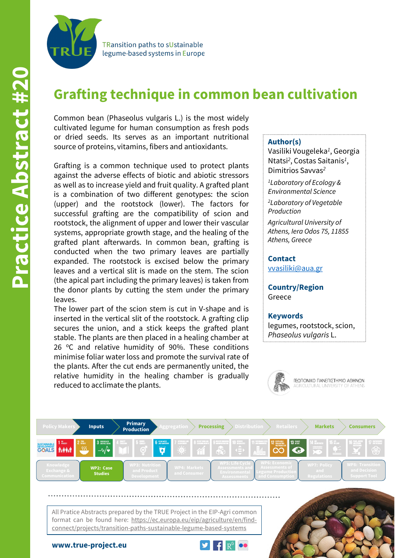

**TRansition paths to sUstainable** legume-based systems in Europe

# **Grafting technique in common bean cultivation**

Common bean (Phaseolus vulgaris L.) is the most widely cultivated legume for human consumption as fresh pods or dried seeds. Its serves as an important nutritional source of proteins, vitamins, fibers and antioxidants.

Grafting is a common technique used to protect plants against the adverse effects of biotic and abiotic stressors as well as to increase yield and fruit quality. A grafted plant is a combination of two different genotypes: the scion (upper) and the rootstock (lower). The factors for successful grafting are the compatibility of scion and rootstock, the alignment of upper and lower their vascular systems, appropriate growth stage, and the healing of the grafted plant afterwards. In common bean, grafting is conducted when the two primary leaves are partially expanded. The rootstock is excised below the primary leaves and a vertical slit is made on the stem. The scion (the apical part including the primary leaves) is taken from the donor plants by cutting the stem under the primary leaves.

The lower part of the scion stem is cut in V-shape and is inserted in the vertical slit of the rootstock. A grafting clip secures the union, and a stick keeps the grafted plant stable. The plants are then placed in a healing chamber at 26  $°C$  and relative humidity of 90%. These conditions minimise foliar water loss and promote the survival rate of the plants. After the cut ends are permanently united, the relative humidity in the healing chamber is gradually reduced to acclimate the plants.

#### **Author(s)**

Vasiliki Vougeleka*<sup>1</sup>*, Georgia Ntatsi*<sup>2</sup>*, Costas Saitanis*<sup>1</sup>*, Dimitrios Savvas*<sup>2</sup>*

*1Laboratory of Ecology & Environmental Science*

*2Laboratory of Vegetable Production*

*Agricultural University of Athens, Iera Odos 75, 11855 Athens, Greece*

**Contact** [vvasiliki@aua.gr](mailto:vvasiliki@aua.gr)

**Country/Region** Greece

**Keywords** legumes, rootstock, scion, *Phaseolus vulgaris* L.





format can be found here: https://ec.europa.eu/eip/agriculture/en/findconnect/projects/transition-paths-sustainable-legume-based-systems





**www.true-project.eu**